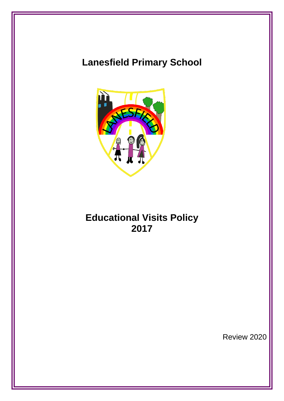# **Lanesfield Primary School**



# **Educational Visits Policy 2017**

Review 2020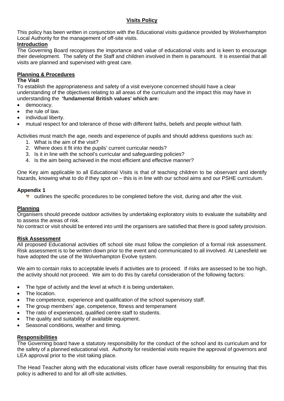#### **Visits Policy**

This policy has been written in conjunction with the Educational visits guidance provided by Wolverhampton Local Authority for the management of off-site visits.

### **Introduction**

The Governing Board recognises the importance and value of educational visits and is keen to encourage their development. The safety of the Staff and children involved in them is paramount. It is essential that all visits are planned and supervised with great care.

#### **Planning & Procedures**

### **The Visit**

To establish the appropriateness and safety of a visit everyone concerned should have a clear understanding of the objectives relating to all areas of the curriculum and the impact this may have in understanding the **'fundamental British values' which are:**

- democracy.
- the rule of law.
- individual liberty.
- mutual respect for and tolerance of those with different faiths, beliefs and people without faith.

Activities must match the age, needs and experience of pupils and should address questions such as:

- 1. What is the aim of the visit?
- 2. Where does it fit into the pupils' current curricular needs?
- 3. Is it in line with the school's curricular and safeguarding policies?
- 4. Is the aim being achieved in the most efficient and effective manner?

One Key aim applicable to all Educational Visits is that of teaching children to be observant and identify hazards, knowing what to do if they spot on – this is in line with our school aims and our PSHE curriculum.

#### **Appendix 1**

**U** outlines the specific procedures to be completed before the visit, during and after the visit.

#### **Planning**

Organisers should precede outdoor activities by undertaking exploratory visits to evaluate the suitability and to assess the areas of risk.

No contract or visit should be entered into until the organisers are satisfied that there is good safety provision.

#### **Risk Assessment**

All proposed Educational activities off school site must follow the completion of a formal risk assessment. Risk assessment is to be written down prior to the event and communicated to all involved. At Lanesfield we have adopted the use of the Wolverhampton Evolve system.

We aim to contain risks to acceptable levels if activities are to proceed. If risks are assessed to be too high, the activity should not proceed. We aim to do this by careful consideration of the following factors:

- The type of activity and the level at which it is being undertaken.
- The location.
- The competence, experience and qualification of the school supervisory staff.
- The group members' age, competence, fitness and temperament
- The ratio of experienced, qualified centre staff to students.
- The quality and suitability of available equipment.
- Seasonal conditions, weather and timing.

#### **Responsibilities**

The Governing board have a statutory responsibility for the conduct of the school and its curriculum and for the safety of a planned educational visit. Authority for residential visits require the approval of governors and LEA approval prior to the visit taking place.

The Head Teacher along with the educational visits officer have overall responsibility for ensuring that this policy is adhered to and for all off-site activities.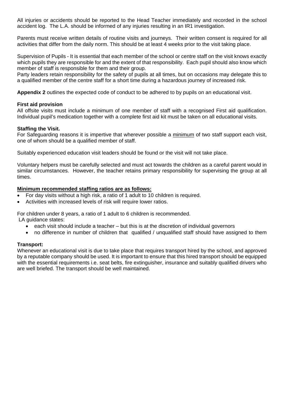All injuries or accidents should be reported to the Head Teacher immediately and recorded in the school accident log. The L.A. should be informed of any injuries resulting in an IR1 investigation.

Parents must receive written details of routine visits and journeys. Their written consent is required for all activities that differ from the daily norm. This should be at least 4 weeks prior to the visit taking place.

Supervision of Pupils - It is essential that each member of the school or centre staff on the visit knows exactly which pupils they are responsible for and the extent of that responsibility. Each pupil should also know which member of staff is responsible for them and their group.

Party leaders retain responsibility for the safety of pupils at all times, but on occasions may delegate this to a qualified member of the centre staff for a short time during a hazardous journey of increased risk.

**Appendix 2** outlines the expected code of conduct to be adhered to by pupils on an educational visit.

#### **First aid provision**

All offsite visits must include a minimum of one member of staff with a recognised First aid qualification. Individual pupil's medication together with a complete first aid kit must be taken on all educational visits.

#### **Staffing the Visit.**

For Safeguarding reasons it is impertive that wherever possible a minimum of two staff support each visit, one of whom should be a qualified member of staff.

Suitably experienced education visit leaders should be found or the visit will not take place.

Voluntary helpers must be carefully selected and must act towards the children as a careful parent would in similar circumstances. However, the teacher retains primary responsibility for supervising the group at all times.

#### **Minimum recommended staffing ratios are as follows:**

- For day visits without a high risk, a ratio of 1 adult to 10 children is required.
- Activities with increased levels of risk will require lower ratios.

For children under 8 years, a ratio of 1 adult to 6 children is recommended.

LA guidance states:

- each visit should include a teacher but this is at the discretion of individual governors
- no difference in number of children that qualified / unqualified staff should have assigned to them

#### **Transport:**

Whenever an educational visit is due to take place that requires transport hired by the school, and approved by a reputable company should be used. It is important to ensure that this hired transport should be equipped with the essential requirements i.e. seat belts, fire extinguisher, insurance and suitably qualified drivers who are well briefed. The transport should be well maintained.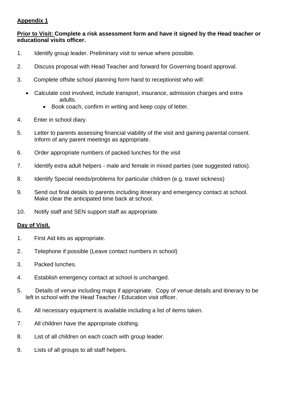# **Appendix 1**

## **Prior to Visit: Complete a risk assessment form and have it signed by the Head teacher or educational visits officer.**

- 1. Identify group leader. Preliminary visit to venue where possible.
- 2. Discuss proposal with Head Teacher and forward for Governing board approval.
- 3. Complete offsite school planning form hand to receptionist who will:
	- Calculate cost involved, include transport, insurance, admission charges and extra adults.
		- Book coach, confirm in writing and keep copy of letter.
- 4. Enter in school diary.
- 5. Letter to parents assessing financial viability of the visit and gaining parental consent. Inform of any parent meetings as appropriate.
- 6. Order appropriate numbers of packed lunches for the visit
- 7. Identify extra adult helpers male and female in mixed parties (see suggested ratios).
- 8. Identify Special needs/problems for particular children (e.g. travel sickness)
- 9. Send out final details to parents including itinerary and emergency contact at school. Make clear the anticipated time back at school.
- 10. Notify staff and SEN support staff as appropriate.

## **Day of Visit.**

- 1. First Aid kits as appropriate.
- 2. Telephone if possible (Leave contact numbers in school)
- 3. Packed lunches.
- 4. Establish emergency contact at school is unchanged.
- 5. Details of venue including maps if appropriate. Copy of venue details and itinerary to be left in school with the Head Teacher / Education visit officer.
- 6. All necessary equipment is available including a list of items taken.
- 7. All children have the appropriate clothing.
- 8. List of all children on each coach with group leader.
- 9. Lists of all groups to all staff helpers.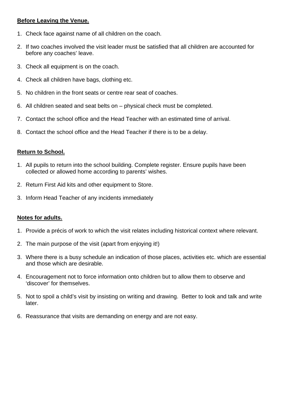## **Before Leaving the Venue.**

- 1. Check face against name of all children on the coach.
- 2. If two coaches involved the visit leader must be satisfied that all children are accounted for before any coaches' leave.
- 3. Check all equipment is on the coach.
- 4. Check all children have bags, clothing etc.
- 5. No children in the front seats or centre rear seat of coaches.
- 6. All children seated and seat belts on physical check must be completed.
- 7. Contact the school office and the Head Teacher with an estimated time of arrival.
- 8. Contact the school office and the Head Teacher if there is to be a delay.

# **Return to School.**

- 1. All pupils to return into the school building. Complete register. Ensure pupils have been collected or allowed home according to parents' wishes.
- 2. Return First Aid kits and other equipment to Store.
- 3. Inform Head Teacher of any incidents immediately

# **Notes for adults.**

- 1. Provide a précis of work to which the visit relates including historical context where relevant.
- 2. The main purpose of the visit (apart from enjoying it!)
- 3. Where there is a busy schedule an indication of those places, activities etc. which are essential and those which are desirable.
- 4. Encouragement not to force information onto children but to allow them to observe and 'discover' for themselves.
- 5. Not to spoil a child's visit by insisting on writing and drawing. Better to look and talk and write later.
- 6. Reassurance that visits are demanding on energy and are not easy.